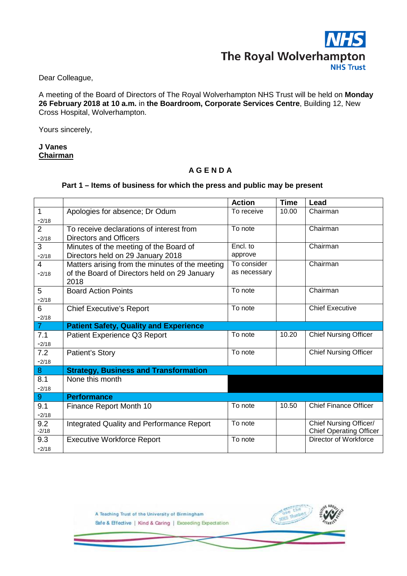

Dear Colleague,

A meeting of the Board of Directors of The Royal Wolverhampton NHS Trust will be held on **Monday 26 February 2018 at 10 a.m.** in **the Boardroom, Corporate Services Centre**, Building 12, New Cross Hospital, Wolverhampton.

Yours sincerely,

## **J Vanes Chairman**

## **A G E N D A**

## **Part 1 – Items of business for which the press and public may be present**

|                |                                                  | <b>Action</b> | <b>Time</b> | Lead                           |
|----------------|--------------------------------------------------|---------------|-------------|--------------------------------|
| 1              | Apologies for absence; Dr Odum                   | To receive    | 10.00       | Chairman                       |
| $-2/18$        |                                                  |               |             |                                |
| $\overline{2}$ | To receive declarations of interest from         | To note       |             | Chairman                       |
| $-2/18$        | <b>Directors and Officers</b>                    |               |             |                                |
| 3              | Minutes of the meeting of the Board of           | Encl. to      |             | Chairman                       |
| $-2/18$        | Directors held on 29 January 2018                | approve       |             |                                |
| 4              | Matters arising from the minutes of the meeting  | To consider   |             | Chairman                       |
| $-2/18$        | of the Board of Directors held on 29 January     | as necessary  |             |                                |
|                | 2018                                             |               |             |                                |
| 5              | <b>Board Action Points</b>                       | To note       |             | Chairman                       |
| $-2/18$        |                                                  |               |             |                                |
| 6              | <b>Chief Executive's Report</b>                  | To note       |             | <b>Chief Executive</b>         |
| $-2/18$        |                                                  |               |             |                                |
| 7 <sup>1</sup> | <b>Patient Safety, Quality and Experience</b>    |               |             |                                |
| 7.1            | Patient Experience Q3 Report                     | To note       | 10.20       | <b>Chief Nursing Officer</b>   |
| $-2/18$        |                                                  |               |             |                                |
| 7.2            | <b>Patient's Story</b>                           | To note       |             | <b>Chief Nursing Officer</b>   |
| $-2/18$        |                                                  |               |             |                                |
| 8 <sup>°</sup> | <b>Strategy, Business and Transformation</b>     |               |             |                                |
| 8.1            | None this month                                  |               |             |                                |
| $-2/18$        |                                                  |               |             |                                |
| 9              | <b>Performance</b>                               |               |             |                                |
| 9.1            | Finance Report Month 10                          | To note       | 10.50       | <b>Chief Finance Officer</b>   |
| $-2/18$        |                                                  |               |             |                                |
| 9.2            | <b>Integrated Quality and Performance Report</b> | To note       |             | Chief Nursing Officer/         |
| $-2/18$        |                                                  |               |             | <b>Chief Operating Officer</b> |
| 9.3            | <b>Executive Workforce Report</b>                | To note       |             | Director of Workforce          |
| $-2/18$        |                                                  |               |             |                                |

A Teaching Trust of the University of Birmingham Safe & Effective | Kind & Caring | Exceeding Expectation